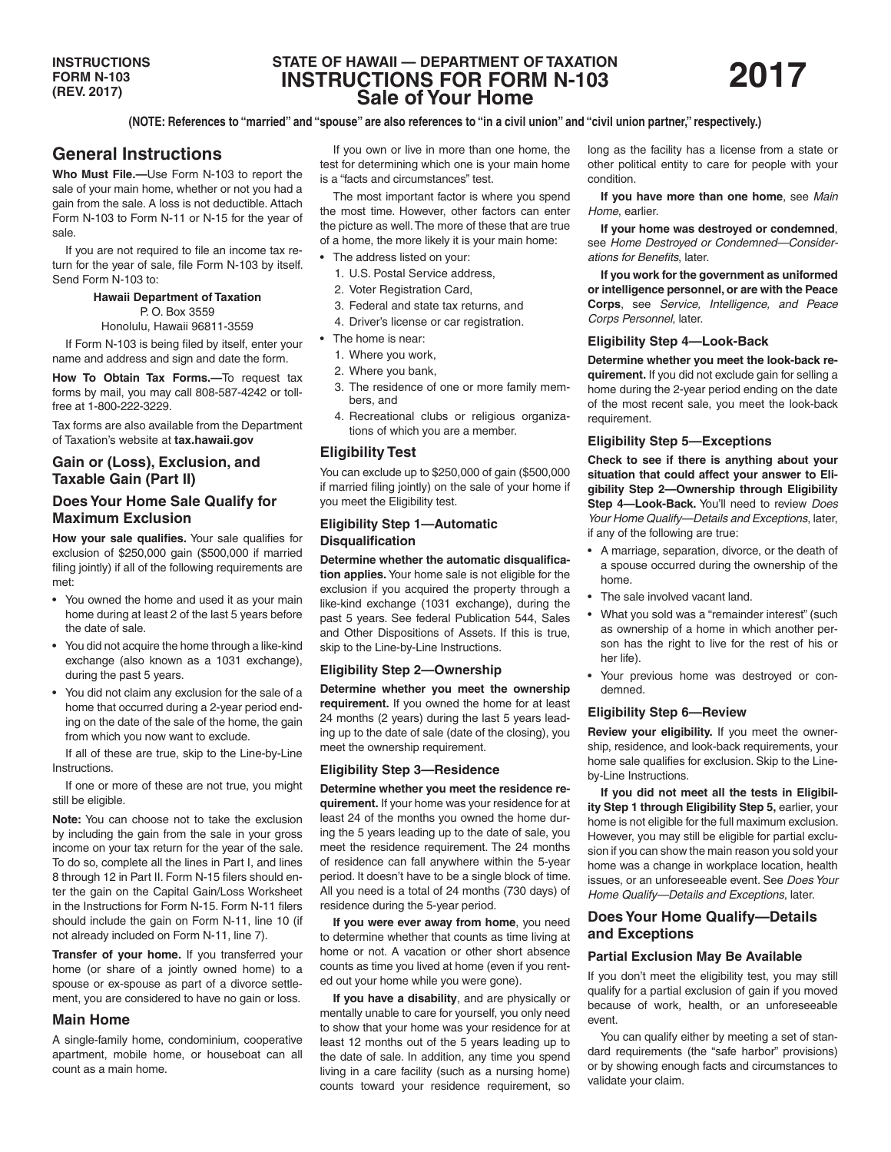# **STATE OF HAWAII — DEPARTMENT OF TAXATION INSTRUCTIONS FOR FORM N-103 Sale of Your Home**

#### **(NOTE: References to "married" and "spouse" are also references to "in a civil union" and "civil union partner," respectively.)**

# **General Instructions**

**Who Must File.—**Use Form N-103 to report the sale of your main home, whether or not you had a gain from the sale. A loss is not deductible. Attach Form N-103 to Form N-11 or N-15 for the year of sale.

If you are not required to file an income tax return for the year of sale, file Form N-103 by itself. Send Form N-103 to:

#### **Hawaii Department of Taxation** P. O. Box 3559

Honolulu, Hawaii 96811-3559

If Form N-103 is being filed by itself, enter your name and address and sign and date the form.

**How To Obtain Tax Forms.—**To request tax forms by mail, you may call 808-587-4242 or tollfree at 1-800-222-3229.

Tax forms are also available from the Department of Taxation's website at **tax.hawaii.gov**

# **Gain or (Loss), Exclusion, and Taxable Gain (Part II)**

## **Does Your Home Sale Qualify for Maximum Exclusion**

**How your sale qualifies.** Your sale qualifies for exclusion of \$250,000 gain (\$500,000 if married filing jointly) if all of the following requirements are met:

- You owned the home and used it as your main home during at least 2 of the last 5 years before the date of sale.
- You did not acquire the home through a like-kind exchange (also known as a 1031 exchange), during the past 5 years.
- You did not claim any exclusion for the sale of a home that occurred during a 2-year period ending on the date of the sale of the home, the gain from which you now want to exclude.

If all of these are true, skip to the Line-by-Line Instructions.

If one or more of these are not true, you might still be eligible.

**Note:** You can choose not to take the exclusion by including the gain from the sale in your gross income on your tax return for the year of the sale. To do so, complete all the lines in Part I, and lines 8 through 12 in Part II. Form N-15 filers should enter the gain on the Capital Gain/Loss Worksheet in the Instructions for Form N-15. Form N-11 filers should include the gain on Form N-11, line 10 (if not already included on Form N-11, line 7).

**Transfer of your home.** If you transferred your home (or share of a jointly owned home) to a spouse or ex-spouse as part of a divorce settlement, you are considered to have no gain or loss.

## **Main Home**

A single-family home, condominium, cooperative apartment, mobile home, or houseboat can all count as a main home.

If you own or live in more than one home, the test for determining which one is your main home is a "facts and circumstances" test.

The most important factor is where you spend the most time. However, other factors can enter the picture as well. The more of these that are true of a home, the more likely it is your main home:

- The address listed on your:
	- 1. U.S. Postal Service address,
	- 2. Voter Registration Card,
	- 3. Federal and state tax returns, and
	- 4. Driver's license or car registration.
- The home is near:
	- 1. Where you work,
	- 2. Where you bank,
	- 3. The residence of one or more family members, and
	- 4. Recreational clubs or religious organizations of which you are a member.

# **Eligibility Test**

You can exclude up to \$250,000 of gain (\$500,000 if married filing jointly) on the sale of your home if you meet the Eligibility test.

## **Eligibility Step 1—Automatic Disqualification**

**Determine whether the automatic disqualification applies.** Your home sale is not eligible for the exclusion if you acquired the property through a like-kind exchange (1031 exchange), during the past 5 years. See federal Publication 544, Sales and Other Dispositions of Assets. If this is true, skip to the Line-by-Line Instructions.

## **Eligibility Step 2—Ownership**

**Determine whether you meet the ownership requirement.** If you owned the home for at least 24 months (2 years) during the last 5 years leading up to the date of sale (date of the closing), you meet the ownership requirement.

#### **Eligibility Step 3—Residence**

**Determine whether you meet the residence requirement.** If your home was your residence for at least 24 of the months you owned the home during the 5 years leading up to the date of sale, you meet the residence requirement. The 24 months of residence can fall anywhere within the 5-year period. It doesn't have to be a single block of time. All you need is a total of 24 months (730 days) of residence during the 5-year period.

**If you were ever away from home**, you need to determine whether that counts as time living at home or not. A vacation or other short absence counts as time you lived at home (even if you rented out your home while you were gone).

**If you have a disability**, and are physically or mentally unable to care for yourself, you only need to show that your home was your residence for at least 12 months out of the 5 years leading up to the date of sale. In addition, any time you spend living in a care facility (such as a nursing home) counts toward your residence requirement, so long as the facility has a license from a state or other political entity to care for people with your condition.

**If you have more than one home**, see *Main Home*, earlier.

**If your home was destroyed or condemned**, see *Home Destroyed or Condemned—Considerations for Benefits*, later.

**If you work for the government as uniformed or intelligence personnel, or are with the Peace Corps**, see *Service, Intelligence, and Peace Corps Personnel*, later.

#### **Eligibility Step 4—Look-Back**

**Determine whether you meet the look-back requirement.** If you did not exclude gain for selling a home during the 2-year period ending on the date of the most recent sale, you meet the look-back requirement.

### **Eligibility Step 5—Exceptions**

**Check to see if there is anything about your situation that could affect your answer to Eligibility Step 2—Ownership through Eligibility Step 4—Look-Back.** You'll need to review *Does Your Home Qualify—Details and Exceptions*, later, if any of the following are true:

- A marriage, separation, divorce, or the death of a spouse occurred during the ownership of the home.
- The sale involved vacant land.
- What you sold was a "remainder interest" (such as ownership of a home in which another person has the right to live for the rest of his or her life).
- Your previous home was destroyed or condemned.

#### **Eligibility Step 6—Review**

**Review your eligibility.** If you meet the ownership, residence, and look-back requirements, your home sale qualifies for exclusion. Skip to the Lineby-Line Instructions.

**If you did not meet all the tests in Eligibility Step 1 through Eligibility Step 5,** earlier, your home is not eligible for the full maximum exclusion. However, you may still be eligible for partial exclusion if you can show the main reason you sold your home was a change in workplace location, health issues, or an unforeseeable event. See *Does Your Home Qualify—Details and Exceptions*, later.

## **Does Your Home Qualify—Details and Exceptions**

#### **Partial Exclusion May Be Available**

If you don't meet the eligibility test, you may still qualify for a partial exclusion of gain if you moved because of work, health, or an unforeseeable event.

You can qualify either by meeting a set of standard requirements (the "safe harbor" provisions) or by showing enough facts and circumstances to validate your claim.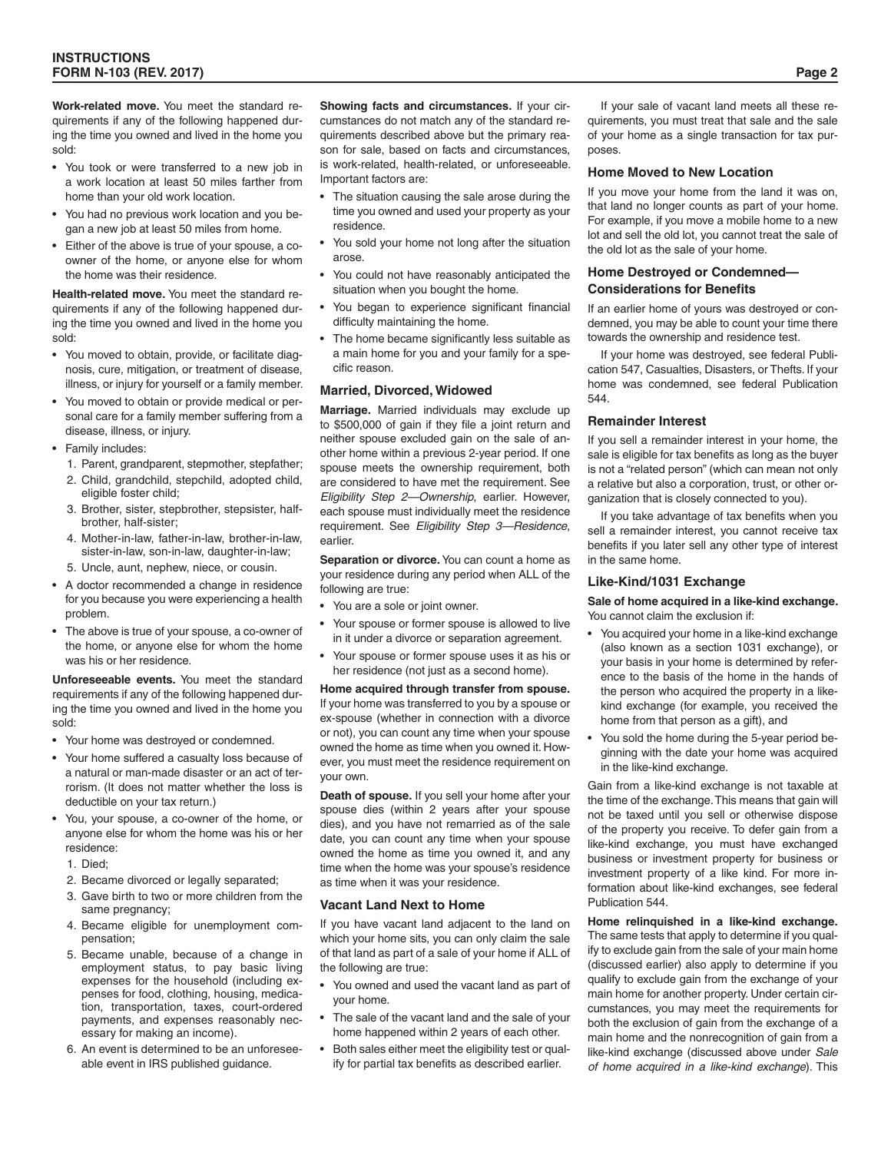**Work-related move.** You meet the standard requirements if any of the following happened during the time you owned and lived in the home you sold:

- You took or were transferred to a new job in a work location at least 50 miles farther from home than your old work location.
- You had no previous work location and you began a new job at least 50 miles from home.
- Either of the above is true of your spouse, a coowner of the home, or anyone else for whom the home was their residence.

**Health-related move.** You meet the standard requirements if any of the following happened during the time you owned and lived in the home you sold:

- You moved to obtain, provide, or facilitate diagnosis, cure, mitigation, or treatment of disease, illness, or injury for yourself or a family member.
- You moved to obtain or provide medical or personal care for a family member suffering from a disease, illness, or injury.
- Family includes:
	- 1. Parent, grandparent, stepmother, stepfather;
	- 2. Child, grandchild, stepchild, adopted child, eligible foster child;
	- 3. Brother, sister, stepbrother, stepsister, halfbrother, half-sister;
	- 4. Mother-in-law, father-in-law, brother-in-law, sister-in-law, son-in-law, daughter-in-law;
	- 5. Uncle, aunt, nephew, niece, or cousin.
- A doctor recommended a change in residence for you because you were experiencing a health problem.
- The above is true of your spouse, a co-owner of the home, or anyone else for whom the home was his or her residence.

**Unforeseeable events.** You meet the standard requirements if any of the following happened during the time you owned and lived in the home you sold:

- Your home was destroyed or condemned.
- Your home suffered a casualty loss because of a natural or man-made disaster or an act of terrorism. (It does not matter whether the loss is deductible on your tax return.)
- You, your spouse, a co-owner of the home, or anyone else for whom the home was his or her residence:
	- 1. Died;
	- 2. Became divorced or legally separated;
	- 3. Gave birth to two or more children from the same pregnancy;
	- 4. Became eligible for unemployment compensation;
	- 5. Became unable, because of a change in employment status, to pay basic living expenses for the household (including expenses for food, clothing, housing, medication, transportation, taxes, court-ordered payments, and expenses reasonably necessary for making an income).
	- An event is determined to be an unforeseeable event in IRS published guidance.

**Showing facts and circumstances.** If your circumstances do not match any of the standard requirements described above but the primary reason for sale, based on facts and circumstances, is work-related, health-related, or unforeseeable. Important factors are:

- The situation causing the sale arose during the time you owned and used your property as your residence.
- You sold your home not long after the situation arose.
- You could not have reasonably anticipated the situation when you bought the home.
- You began to experience significant financial difficulty maintaining the home.
- The home became significantly less suitable as a main home for you and your family for a specific reason.

#### **Married, Divorced, Widowed**

**Marriage.** Married individuals may exclude up to \$500,000 of gain if they file a joint return and neither spouse excluded gain on the sale of another home within a previous 2-year period. If one spouse meets the ownership requirement, both are considered to have met the requirement. See *Eligibility Step 2—Ownership*, earlier. However, each spouse must individually meet the residence requirement. See *Eligibility Step 3—Residence*, earlier.

**Separation or divorce.** You can count a home as your residence during any period when ALL of the following are true:

- You are a sole or joint owner.
- Your spouse or former spouse is allowed to live in it under a divorce or separation agreement.
- Your spouse or former spouse uses it as his or her residence (not just as a second home).

**Home acquired through transfer from spouse.** If your home was transferred to you by a spouse or ex-spouse (whether in connection with a divorce or not), you can count any time when your spouse owned the home as time when you owned it. However, you must meet the residence requirement on your own.

**Death of spouse.** If you sell your home after your spouse dies (within 2 years after your spouse dies), and you have not remarried as of the sale date, you can count any time when your spouse owned the home as time you owned it, and any time when the home was your spouse's residence as time when it was your residence.

#### **Vacant Land Next to Home**

If you have vacant land adjacent to the land on which your home sits, you can only claim the sale of that land as part of a sale of your home if ALL of the following are true:

- You owned and used the vacant land as part of your home.
- The sale of the vacant land and the sale of your home happened within 2 years of each other.
- Both sales either meet the eligibility test or qualify for partial tax benefits as described earlier.

If your sale of vacant land meets all these requirements, you must treat that sale and the sale of your home as a single transaction for tax purposes.

#### **Home Moved to New Location**

If you move your home from the land it was on, that land no longer counts as part of your home. For example, if you move a mobile home to a new lot and sell the old lot, you cannot treat the sale of the old lot as the sale of your home.

#### **Home Destroyed or Condemned— Considerations for Benefits**

If an earlier home of yours was destroyed or condemned, you may be able to count your time there towards the ownership and residence test.

If your home was destroyed, see federal Publication 547, Casualties, Disasters, or Thefts. If your home was condemned, see federal Publication 544.

#### **Remainder Interest**

If you sell a remainder interest in your home, the sale is eligible for tax benefits as long as the buyer is not a "related person" (which can mean not only a relative but also a corporation, trust, or other organization that is closely connected to you).

If you take advantage of tax benefits when you sell a remainder interest, you cannot receive tax benefits if you later sell any other type of interest in the same home.

#### **Like-Kind/1031 Exchange**

**Sale of home acquired in a like-kind exchange.**  You cannot claim the exclusion if:

- You acquired your home in a like-kind exchange (also known as a section 1031 exchange), or your basis in your home is determined by reference to the basis of the home in the hands of the person who acquired the property in a likekind exchange (for example, you received the home from that person as a gift), and
- You sold the home during the 5-year period beginning with the date your home was acquired in the like-kind exchange.

Gain from a like-kind exchange is not taxable at the time of the exchange. This means that gain will not be taxed until you sell or otherwise dispose of the property you receive. To defer gain from a like-kind exchange, you must have exchanged business or investment property for business or investment property of a like kind. For more information about like-kind exchanges, see federal Publication 544.

**Home relinquished in a like-kind exchange.** The same tests that apply to determine if you qualify to exclude gain from the sale of your main home (discussed earlier) also apply to determine if you qualify to exclude gain from the exchange of your main home for another property. Under certain circumstances, you may meet the requirements for both the exclusion of gain from the exchange of a main home and the nonrecognition of gain from a like-kind exchange (discussed above under *Sale of home acquired in a like-kind exchange*). This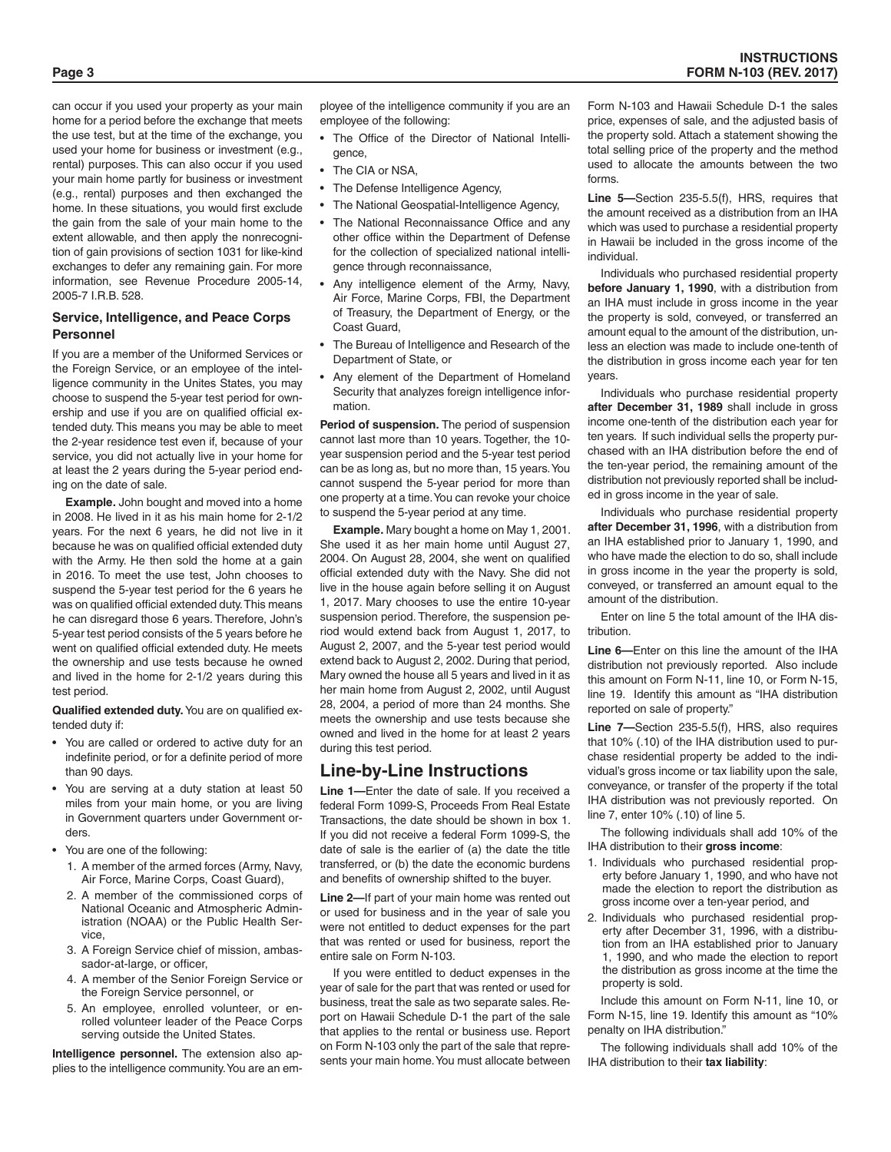can occur if you used your property as your main home for a period before the exchange that meets the use test, but at the time of the exchange, you used your home for business or investment (e.g., rental) purposes. This can also occur if you used your main home partly for business or investment (e.g., rental) purposes and then exchanged the home. In these situations, you would first exclude the gain from the sale of your main home to the extent allowable, and then apply the nonrecognition of gain provisions of section 1031 for like-kind exchanges to defer any remaining gain. For more information, see Revenue Procedure 2005-14, 2005-7 I.R.B. 528.

### **Service, Intelligence, and Peace Corps Personnel**

If you are a member of the Uniformed Services or the Foreign Service, or an employee of the intelligence community in the Unites States, you may choose to suspend the 5-year test period for ownership and use if you are on qualified official extended duty. This means you may be able to meet the 2-year residence test even if, because of your service, you did not actually live in your home for at least the 2 years during the 5-year period ending on the date of sale.

**Example.** John bought and moved into a home in 2008. He lived in it as his main home for 2-1/2 years. For the next 6 years, he did not live in it because he was on qualified official extended duty with the Army. He then sold the home at a gain in 2016. To meet the use test, John chooses to suspend the 5-year test period for the 6 years he was on qualified official extended duty. This means he can disregard those 6 years. Therefore, John's 5-year test period consists of the 5 years before he went on qualified official extended duty. He meets the ownership and use tests because he owned and lived in the home for 2-1/2 years during this test period.

**Qualified extended duty.** You are on qualified extended duty if:

- You are called or ordered to active duty for an indefinite period, or for a definite period of more than 90 days.
- You are serving at a duty station at least 50 miles from your main home, or you are living in Government quarters under Government orders.
- You are one of the following:
	- 1. A member of the armed forces (Army, Navy, Air Force, Marine Corps, Coast Guard),
	- 2. A member of the commissioned corps of National Oceanic and Atmospheric Administration (NOAA) or the Public Health Service,
	- 3. A Foreign Service chief of mission, ambassador-at-large, or officer,
	- 4. A member of the Senior Foreign Service or the Foreign Service personnel, or
	- 5. An employee, enrolled volunteer, or enrolled volunteer leader of the Peace Corps serving outside the United States.

**Intelligence personnel.** The extension also applies to the intelligence community. You are an employee of the intelligence community if you are an employee of the following:

- The Office of the Director of National Intelligence,
- The CIA or NSA.
- The Defense Intelligence Agency,
- The National Geospatial-Intelligence Agency,
- The National Reconnaissance Office and any other office within the Department of Defense for the collection of specialized national intelligence through reconnaissance,
- Any intelligence element of the Army, Navy, Air Force, Marine Corps, FBI, the Department of Treasury, the Department of Energy, or the Coast Guard,
- The Bureau of Intelligence and Research of the Department of State, or
- Any element of the Department of Homeland Security that analyzes foreign intelligence information.

**Period of suspension.** The period of suspension cannot last more than 10 years. Together, the 10 year suspension period and the 5-year test period can be as long as, but no more than, 15 years. You cannot suspend the 5-year period for more than one property at a time. You can revoke your choice to suspend the 5-year period at any time.

**Example.** Mary bought a home on May 1, 2001. She used it as her main home until August 27, 2004. On August 28, 2004, she went on qualified official extended duty with the Navy. She did not live in the house again before selling it on August 1, 2017. Mary chooses to use the entire 10-year suspension period. Therefore, the suspension period would extend back from August 1, 2017, to August 2, 2007, and the 5-year test period would extend back to August 2, 2002. During that period, Mary owned the house all 5 years and lived in it as her main home from August 2, 2002, until August 28, 2004, a period of more than 24 months. She meets the ownership and use tests because she owned and lived in the home for at least 2 years during this test period.

# **Line-by-Line Instructions**

**Line 1—**Enter the date of sale. If you received a federal Form 1099-S, Proceeds From Real Estate Transactions, the date should be shown in box 1. If you did not receive a federal Form 1099-S, the date of sale is the earlier of (a) the date the title transferred, or (b) the date the economic burdens and benefits of ownership shifted to the buyer.

**Line 2—**If part of your main home was rented out or used for business and in the year of sale you were not entitled to deduct expenses for the part that was rented or used for business, report the entire sale on Form N-103.

If you were entitled to deduct expenses in the year of sale for the part that was rented or used for business, treat the sale as two separate sales. Report on Hawaii Schedule D-1 the part of the sale that applies to the rental or business use. Report on Form N-103 only the part of the sale that represents your main home. You must allocate between Form N-103 and Hawaii Schedule D-1 the sales price, expenses of sale, and the adjusted basis of the property sold. Attach a statement showing the total selling price of the property and the method used to allocate the amounts between the two forms.

**Line 5—**Section 235-5.5(f), HRS, requires that the amount received as a distribution from an IHA which was used to purchase a residential property in Hawaii be included in the gross income of the individual.

Individuals who purchased residential property **before January 1, 1990**, with a distribution from an IHA must include in gross income in the year the property is sold, conveyed, or transferred an amount equal to the amount of the distribution, unless an election was made to include one-tenth of the distribution in gross income each year for ten years.

Individuals who purchase residential property **after December 31, 1989** shall include in gross income one-tenth of the distribution each year for ten years. If such individual sells the property purchased with an IHA distribution before the end of the ten-year period, the remaining amount of the distribution not previously reported shall be included in gross income in the year of sale.

Individuals who purchase residential property **after December 31, 1996**, with a distribution from an IHA established prior to January 1, 1990, and who have made the election to do so, shall include in gross income in the year the property is sold, conveyed, or transferred an amount equal to the amount of the distribution.

Enter on line 5 the total amount of the IHA distribution.

**Line 6—**Enter on this line the amount of the IHA distribution not previously reported. Also include this amount on Form N-11, line 10, or Form N-15, line 19. Identify this amount as "IHA distribution reported on sale of property."

**Line 7—**Section 235-5.5(f), HRS, also requires that 10% (.10) of the IHA distribution used to purchase residential property be added to the individual's gross income or tax liability upon the sale, conveyance, or transfer of the property if the total IHA distribution was not previously reported. On line 7, enter 10% (.10) of line 5.

The following individuals shall add 10% of the IHA distribution to their **gross income**:

- 1. Individuals who purchased residential property before January 1, 1990, and who have not made the election to report the distribution as gross income over a ten-year period, and
- 2. Individuals who purchased residential property after December 31, 1996, with a distribution from an IHA established prior to January 1, 1990, and who made the election to report the distribution as gross income at the time the property is sold.

Include this amount on Form N-11, line 10, or Form N-15, line 19. Identify this amount as "10% penalty on IHA distribution."

The following individuals shall add 10% of the IHA distribution to their **tax liability**: